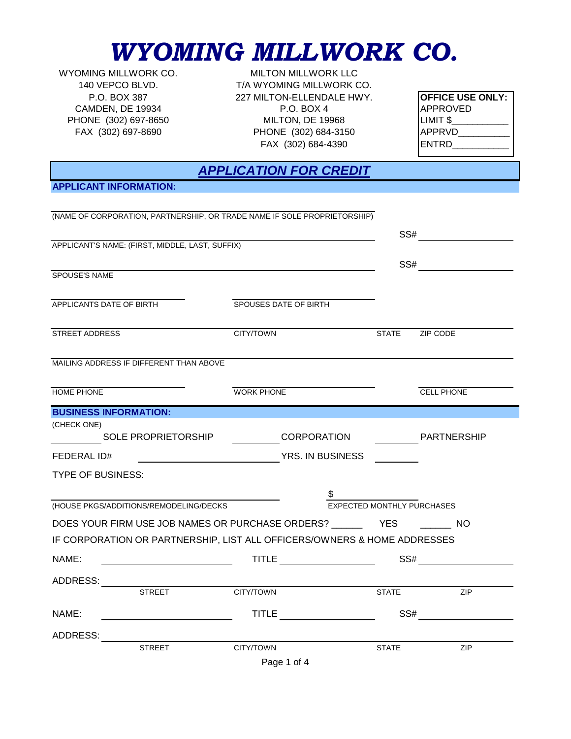## *WYOMING MILLWORK CO.*

CAMDEN, DE 19934 P.O. BOX 4 PHONE (302) 697-8650 MILTON, DE 19968

FAX (302) 684-4390 FAX (302) 697-8690 PHONE (302) 684-3150 WYOMING MILLWORK CO. MILTON MILLWORK LLC 140 VEPCO BLVD. T/A WYOMING MILLWORK CO. P.O. BOX 387 227 MILTON-ELLENDALE HWY.

| <b>OFFICE USE ONLY:</b> |
|-------------------------|
| APPROVED                |
| LIMIT \$                |
| <b>APPRVD</b>           |
| IENTRD                  |
|                         |

### *APPLICATION FOR CREDIT*

**APPLICANT INFORMATION:**

|                                                             | (NAME OF CORPORATION, PARTNERSHIP, OR TRADE NAME IF SOLE PROPRIETORSHIP) |                                                                                                                                                                                                                                     |                                                                                                                |                                |                   |  |
|-------------------------------------------------------------|--------------------------------------------------------------------------|-------------------------------------------------------------------------------------------------------------------------------------------------------------------------------------------------------------------------------------|----------------------------------------------------------------------------------------------------------------|--------------------------------|-------------------|--|
|                                                             |                                                                          |                                                                                                                                                                                                                                     |                                                                                                                |                                |                   |  |
|                                                             | APPLICANT'S NAME: (FIRST, MIDDLE, LAST, SUFFIX)                          |                                                                                                                                                                                                                                     |                                                                                                                |                                |                   |  |
|                                                             |                                                                          |                                                                                                                                                                                                                                     |                                                                                                                |                                |                   |  |
| SPOUSE'S NAME                                               |                                                                          |                                                                                                                                                                                                                                     |                                                                                                                |                                |                   |  |
|                                                             |                                                                          |                                                                                                                                                                                                                                     |                                                                                                                |                                |                   |  |
|                                                             | APPLICANTS DATE OF BIRTH                                                 |                                                                                                                                                                                                                                     | SPOUSES DATE OF BIRTH                                                                                          |                                |                   |  |
| STREET ADDRESS                                              |                                                                          | CITY/TOWN                                                                                                                                                                                                                           |                                                                                                                | <b>STATE</b>                   | ZIP CODE          |  |
|                                                             | MAILING ADDRESS IF DIFFERENT THAN ABOVE                                  |                                                                                                                                                                                                                                     |                                                                                                                |                                |                   |  |
| <b>HOME PHONE</b>                                           |                                                                          | <b>WORK PHONE</b>                                                                                                                                                                                                                   |                                                                                                                |                                | <b>CELL PHONE</b> |  |
|                                                             | <b>BUSINESS INFORMATION:</b>                                             |                                                                                                                                                                                                                                     |                                                                                                                |                                |                   |  |
| (CHECK ONE)                                                 |                                                                          |                                                                                                                                                                                                                                     |                                                                                                                |                                |                   |  |
|                                                             | SOLE PROPRIETORSHIP                                                      |                                                                                                                                                                                                                                     | CORPORATION CORPORATION                                                                                        |                                |                   |  |
| FEDERAL ID#                                                 |                                                                          |                                                                                                                                                                                                                                     | THE TERRY OF THE TERRY OF THE TERRY OF THE TERRY OF THE TERRY OF THE TERRY OF THE TERRY OF THE TERRY OF THE TE |                                |                   |  |
| <b>TYPE OF BUSINESS:</b>                                    |                                                                          |                                                                                                                                                                                                                                     |                                                                                                                |                                |                   |  |
|                                                             |                                                                          |                                                                                                                                                                                                                                     |                                                                                                                |                                |                   |  |
|                                                             | (HOUSE PKGS/ADDITIONS/REMODELING/DECKS                                   |                                                                                                                                                                                                                                     |                                                                                                                | $S$ EXPECTED MONTHLY PURCHASES |                   |  |
| DOES YOUR FIRM USE JOB NAMES OR PURCHASE ORDERS? YES YES NO |                                                                          |                                                                                                                                                                                                                                     |                                                                                                                |                                |                   |  |
|                                                             | IF CORPORATION OR PARTNERSHIP, LIST ALL OFFICERS/OWNERS & HOME ADDRESSES |                                                                                                                                                                                                                                     |                                                                                                                |                                |                   |  |
| NAME:                                                       |                                                                          | TITLE <b>All Accounts</b> to the contract of the contract of the contract of the contract of the contract of the contract of the contract of the contract of the contract of the contract of the contract of the contract of the co |                                                                                                                |                                | SS#               |  |
|                                                             |                                                                          |                                                                                                                                                                                                                                     |                                                                                                                |                                |                   |  |
|                                                             | <b>STREET</b>                                                            | <b>CITY/TOWN</b>                                                                                                                                                                                                                    |                                                                                                                | <b>STATE</b>                   | ZIP               |  |
| NAME:                                                       |                                                                          |                                                                                                                                                                                                                                     |                                                                                                                |                                |                   |  |
| ADDRESS:                                                    |                                                                          |                                                                                                                                                                                                                                     |                                                                                                                |                                |                   |  |
|                                                             | <b>STREET</b>                                                            | CITY/TOWN                                                                                                                                                                                                                           |                                                                                                                | <b>STATE</b>                   | <b>ZIP</b>        |  |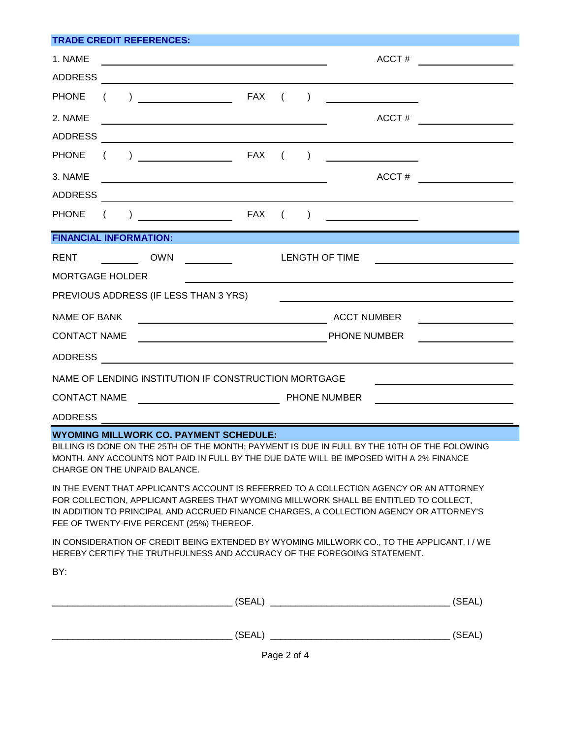| <b>TRADE CREDIT REFERENCES:</b>                                                  |          |                               |                                                                                                                                                                                                                                                                                                                                                                                                                                                                                                  |     |                    |           |                                         |                                                                                                                      |
|----------------------------------------------------------------------------------|----------|-------------------------------|--------------------------------------------------------------------------------------------------------------------------------------------------------------------------------------------------------------------------------------------------------------------------------------------------------------------------------------------------------------------------------------------------------------------------------------------------------------------------------------------------|-----|--------------------|-----------|-----------------------------------------|----------------------------------------------------------------------------------------------------------------------|
| 1. NAME                                                                          |          |                               |                                                                                                                                                                                                                                                                                                                                                                                                                                                                                                  |     |                    |           | ACCT#                                   | <u> 1989 - Jan Barbara Barat, prima politik politik (</u>                                                            |
| <b>ADDRESS</b>                                                                   |          |                               |                                                                                                                                                                                                                                                                                                                                                                                                                                                                                                  |     |                    |           |                                         |                                                                                                                      |
| <b>PHONE</b>                                                                     |          |                               | <b>EXAMPLE 2012 RAX</b>                                                                                                                                                                                                                                                                                                                                                                                                                                                                          |     | $\left($           |           | <u> 1980 - Johann Barbara, martin a</u> |                                                                                                                      |
| 2. NAME                                                                          |          |                               |                                                                                                                                                                                                                                                                                                                                                                                                                                                                                                  |     |                    |           | ACCT#                                   |                                                                                                                      |
| <b>ADDRESS</b>                                                                   |          |                               | <u> 1989 - Andrea State Barbara, amerikan per</u>                                                                                                                                                                                                                                                                                                                                                                                                                                                |     |                    |           |                                         |                                                                                                                      |
| <b>PHONE</b>                                                                     | $\left($ |                               | $) \begin{tabular}{ccc} \multicolumn{2}{c} {\textbf{1}} & \multicolumn{2}{c} {\textbf{1}} \\ \multicolumn{2}{c} {\textbf{1}} & \multicolumn{2}{c} {\textbf{1}} \\ \multicolumn{2}{c} {\textbf{2}} & \multicolumn{2}{c} {\textbf{2}} \\ \multicolumn{2}{c} {\textbf{3}} & \multicolumn{2}{c} {\textbf{4}} \\ \multicolumn{2}{c} {\textbf{5}} & \multicolumn{2}{c} {\textbf{6}} \\ \multicolumn{2}{c} {\textbf{5}} & \multicolumn{2}{c} {\textbf{6}} \\ \multicolumn{2}{c} {\textbf{6}} & \multic$ |     | $\left($           | $\lambda$ |                                         |                                                                                                                      |
| 3. NAME                                                                          |          |                               | <u> 1989 - Johann Barbara, martxa alemaniar amerikan personal (h. 1989).</u>                                                                                                                                                                                                                                                                                                                                                                                                                     |     |                    |           | ACCT#                                   | <u> 1989 - Jan Stein Stein Stein Stein Stein Stein Stein Stein Stein Stein Stein Stein Stein Stein Stein Stein S</u> |
| ADDRESS                                                                          |          |                               |                                                                                                                                                                                                                                                                                                                                                                                                                                                                                                  |     |                    |           |                                         |                                                                                                                      |
| <b>PHONE</b>                                                                     |          |                               |                                                                                                                                                                                                                                                                                                                                                                                                                                                                                                  | FAX | $\left($           | $\lambda$ |                                         |                                                                                                                      |
|                                                                                  |          | <b>FINANCIAL INFORMATION:</b> |                                                                                                                                                                                                                                                                                                                                                                                                                                                                                                  |     |                    |           |                                         |                                                                                                                      |
| <b>RENT</b>                                                                      |          | OWN                           |                                                                                                                                                                                                                                                                                                                                                                                                                                                                                                  |     |                    |           | <b>LENGTH OF TIME</b>                   |                                                                                                                      |
| <b>MORTGAGE HOLDER</b>                                                           |          |                               |                                                                                                                                                                                                                                                                                                                                                                                                                                                                                                  |     |                    |           |                                         |                                                                                                                      |
| PREVIOUS ADDRESS (IF LESS THAN 3 YRS)                                            |          |                               |                                                                                                                                                                                                                                                                                                                                                                                                                                                                                                  |     |                    |           |                                         |                                                                                                                      |
| <b>NAME OF BANK</b><br><u> 1989 - Johann Barn, mars eta bainar eta idazlea (</u> |          |                               |                                                                                                                                                                                                                                                                                                                                                                                                                                                                                                  |     | <b>ACCT NUMBER</b> |           |                                         |                                                                                                                      |
| <b>CONTACT NAME</b><br><u> 1980 - Johann Barbara, martxa alemaniar a</u>         |          |                               |                                                                                                                                                                                                                                                                                                                                                                                                                                                                                                  |     | PHONE NUMBER       |           |                                         |                                                                                                                      |
| <b>ADDRESS</b><br><u> 1989 - Johann Barbara, martxa alemaniar a</u>              |          |                               |                                                                                                                                                                                                                                                                                                                                                                                                                                                                                                  |     |                    |           |                                         |                                                                                                                      |
| NAME OF LENDING INSTITUTION IF CONSTRUCTION MORTGAGE                             |          |                               |                                                                                                                                                                                                                                                                                                                                                                                                                                                                                                  |     |                    |           |                                         |                                                                                                                      |
| <b>CONTACT NAME</b><br><u> 1990 - Johann Barbara, martin a</u>                   |          |                               |                                                                                                                                                                                                                                                                                                                                                                                                                                                                                                  |     | PHONE NUMBER       |           |                                         |                                                                                                                      |
| <b>ADDRESS</b>                                                                   |          |                               |                                                                                                                                                                                                                                                                                                                                                                                                                                                                                                  |     |                    |           |                                         |                                                                                                                      |

#### **WYOMING MILLWORK CO. PAYMENT SCHEDULE:**

BILLING IS DONE ON THE 25TH OF THE MONTH; PAYMENT IS DUE IN FULL BY THE 10TH OF THE FOLOWING MONTH. ANY ACCOUNTS NOT PAID IN FULL BY THE DUE DATE WILL BE IMPOSED WITH A 2% FINANCE CHARGE ON THE UNPAID BALANCE.

IN THE EVENT THAT APPLICANT'S ACCOUNT IS REFERRED TO A COLLECTION AGENCY OR AN ATTORNEY FOR COLLECTION, APPLICANT AGREES THAT WYOMING MILLWORK SHALL BE ENTITLED TO COLLECT, IN ADDITION TO PRINCIPAL AND ACCRUED FINANCE CHARGES, A COLLECTION AGENCY OR ATTORNEY'S FEE OF TWENTY-FIVE PERCENT (25%) THEREOF.

IN CONSIDERATION OF CREDIT BEING EXTENDED BY WYOMING MILLWORK CO., TO THE APPLICANT, I / WE HEREBY CERTIFY THE TRUTHFULNESS AND ACCURACY OF THE FOREGOING STATEMENT.

BY:

| (SEAL) | (SEAL) |
|--------|--------|
| (SEAL) | (SEAL) |

Page 2 of 4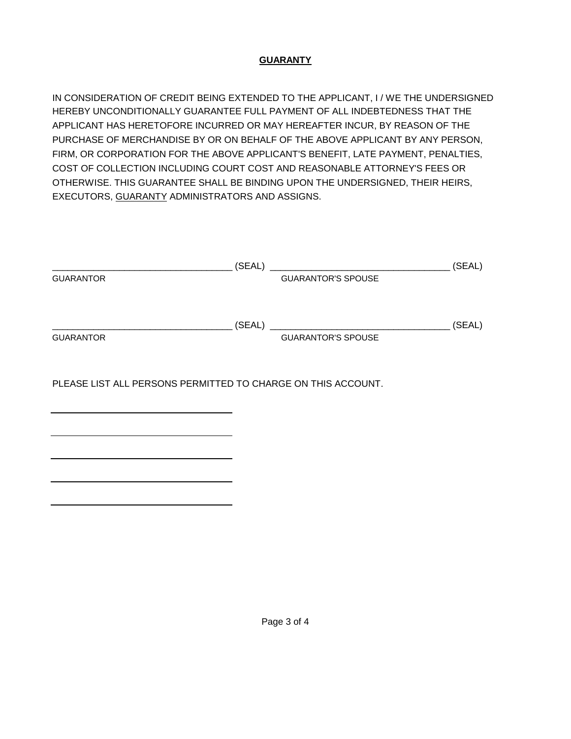#### **GUARANTY**

IN CONSIDERATION OF CREDIT BEING EXTENDED TO THE APPLICANT, I / WE THE UNDERSIGNED HEREBY UNCONDITIONALLY GUARANTEE FULL PAYMENT OF ALL INDEBTEDNESS THAT THE APPLICANT HAS HERETOFORE INCURRED OR MAY HEREAFTER INCUR, BY REASON OF THE PURCHASE OF MERCHANDISE BY OR ON BEHALF OF THE ABOVE APPLICANT BY ANY PERSON, FIRM, OR CORPORATION FOR THE ABOVE APPLICANT'S BENEFIT, LATE PAYMENT, PENALTIES, COST OF COLLECTION INCLUDING COURT COST AND REASONABLE ATTORNEY'S FEES OR OTHERWISE. THIS GUARANTEE SHALL BE BINDING UPON THE UNDERSIGNED, THEIR HEIRS, EXECUTORS, GUARANTY ADMINISTRATORS AND ASSIGNS.

|                                                              | (SEAL) | <u> 1980 - Jan Barbarat, martin amerikan basar dan basal dan basar dalam basar dalam basar dalam basar dalam basa</u> | (SEAL) |
|--------------------------------------------------------------|--------|-----------------------------------------------------------------------------------------------------------------------|--------|
| <b>GUARANTOR</b>                                             |        | <b>GUARANTOR'S SPOUSE</b>                                                                                             |        |
|                                                              | (SEAL) |                                                                                                                       | (SEAL) |
| <b>GUARANTOR</b>                                             |        | <b>GUARANTOR'S SPOUSE</b>                                                                                             |        |
| PLEASE LIST ALL PERSONS PERMITTED TO CHARGE ON THIS ACCOUNT. |        |                                                                                                                       |        |
|                                                              |        |                                                                                                                       |        |
|                                                              |        |                                                                                                                       |        |